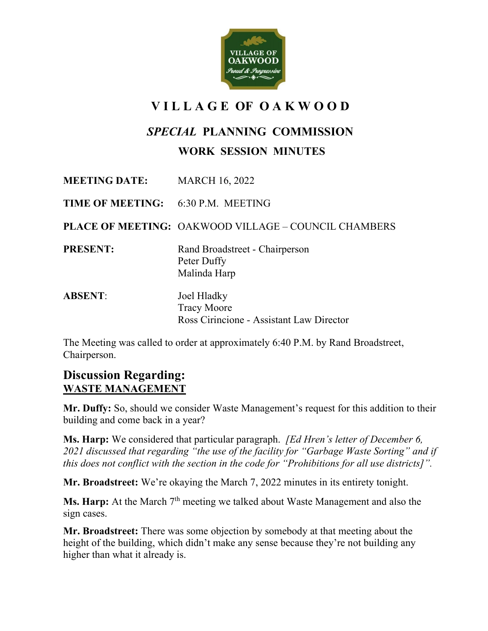

## **V I L L A G E OF O A K W O O D**

## *SPECIAL* **PLANNING COMMISSION**

## **WORK SESSION MINUTES**

**MEETING DATE:** MARCH 16, 2022 **TIME OF MEETING:** 6:30 P.M. MEETING **PLACE OF MEETING:** OAKWOOD VILLAGE – COUNCIL CHAMBERS **PRESENT:** Rand Broadstreet - Chairperson Peter Duffy Malinda Harp **ABSENT**: Joel Hladky Tracy Moore Ross Cirincione - Assistant Law Director

The Meeting was called to order at approximately 6:40 P.M. by Rand Broadstreet, Chairperson.

## **Discussion Regarding: WASTE MANAGEMENT**

**Mr. Duffy:** So, should we consider Waste Management's request for this addition to their building and come back in a year?

**Ms. Harp:** We considered that particular paragraph. *[Ed Hren's letter of December 6, 2021 discussed that regarding "the use of the facility for "Garbage Waste Sorting" and if this does not conflict with the section in the code for "Prohibitions for all use districts]".*

**Mr. Broadstreet:** We're okaying the March 7, 2022 minutes in its entirety tonight.

**Ms. Harp:** At the March 7<sup>th</sup> meeting we talked about Waste Management and also the sign cases.

**Mr. Broadstreet:** There was some objection by somebody at that meeting about the height of the building, which didn't make any sense because they're not building any higher than what it already is.